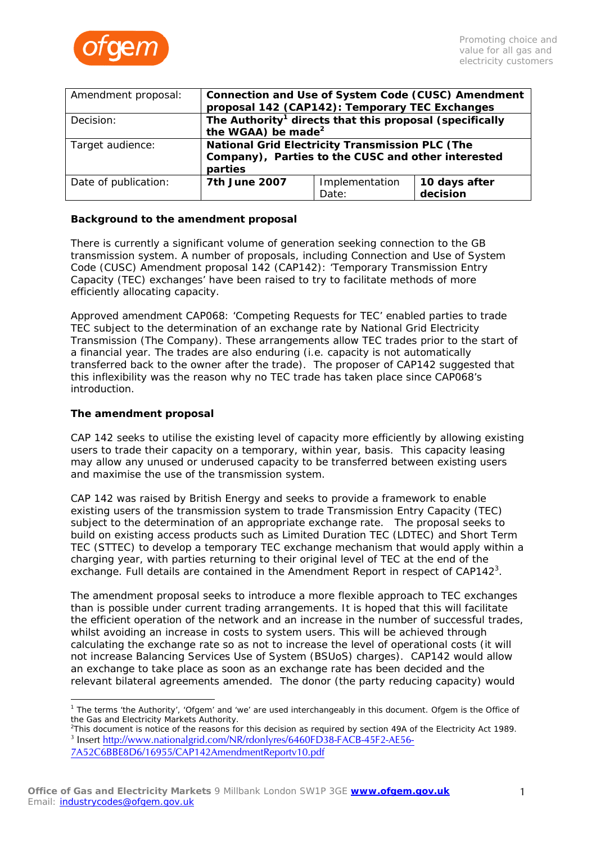

| Amendment proposal:  | Connection and Use of System Code (CUSC) Amendment<br>proposal 142 (CAP142): Temporary TEC Exchanges                    |                         |                           |
|----------------------|-------------------------------------------------------------------------------------------------------------------------|-------------------------|---------------------------|
| Decision:            | The Authority <sup>1</sup> directs that this proposal (specifically<br>the WGAA) be made <sup>2</sup>                   |                         |                           |
| Target audience:     | <b>National Grid Electricity Transmission PLC (The</b><br>Company), Parties to the CUSC and other interested<br>parties |                         |                           |
| Date of publication: | 7th June 2007                                                                                                           | Implementation<br>Date: | 10 days after<br>decision |

# **Background to the amendment proposal**

There is currently a significant volume of generation seeking connection to the GB transmission system. A number of proposals, including Connection and Use of System Code (CUSC) Amendment proposal 142 (CAP142): 'Temporary Transmission Entry Capacity (TEC) exchanges' have been raised to try to facilitate methods of more efficiently allocating capacity.

Approved amendment CAP068: 'Competing Requests for TEC' enabled parties to trade TEC subject to the determination of an exchange rate by National Grid Electricity Transmission (The Company). These arrangements allow TEC trades prior to the start of a financial year. The trades are also enduring (i.e. capacity is not automatically transferred back to the owner after the trade). The proposer of CAP142 suggested that this inflexibility was the reason why no TEC trade has taken place since CAP068's introduction.

## **The amendment proposal**

CAP 142 seeks to utilise the existing level of capacity more efficiently by allowing existing users to trade their capacity on a temporary, within year, basis. This capacity leasing may allow any unused or underused capacity to be transferred between existing users and maximise the use of the transmission system.

CAP 142 was raised by British Energy and seeks to provide a framework to enable existing users of the transmission system to trade Transmission Entry Capacity (TEC) subject to the determination of an appropriate exchange rate. The proposal seeks to build on existing access products such as Limited Duration TEC (LDTEC) and Short Term TEC (STTEC) to develop a temporary TEC exchange mechanism that would apply within a charging year, with parties returning to their original level of TEC at the end of the exchange. Full details are contained in the Amendment Report in respect of CAP142<sup>[3](#page-0-2)</sup>.

The amendment proposal seeks to introduce a more flexible approach to TEC exchanges than is possible under current trading arrangements. It is hoped that this will facilitate the efficient operation of the network and an increase in the number of successful trades, whilst avoiding an increase in costs to system users. This will be achieved through calculating the exchange rate so as not to increase the level of operational costs (it will not increase Balancing Services Use of System (BSUoS) charges). CAP142 would allow an exchange to take place as soon as an exchange rate has been decided and the relevant bilateral agreements amended. The donor (the party reducing capacity) would

<span id="page-0-0"></span> $\overline{a}$ <sup>1</sup> The terms 'the Authority', 'Ofgem' and 'we' are used interchangeably in this document. Ofgem is the Office of the Gas and Electricity Markets Authority.

<span id="page-0-2"></span><span id="page-0-1"></span><sup>&</sup>lt;sup>2</sup>This document is notice of the reasons for this decision as required by section 49A of the Electricity Act 1989. <sup>3</sup> Insert [http://www.nationalgrid.com/NR/rdonlyres/6460FD38-FACB-45F2-AE56-](http://www.nationalgrid.com/NR/rdonlyres/6460FD38-FACB-45F2-AE56-7A52C6BBE8D6/16955/CAP142AmendmentReportv10.pdf) [7A52C6BBE8D6/16955/CAP142AmendmentReportv10.pdf](http://www.nationalgrid.com/NR/rdonlyres/6460FD38-FACB-45F2-AE56-7A52C6BBE8D6/16955/CAP142AmendmentReportv10.pdf)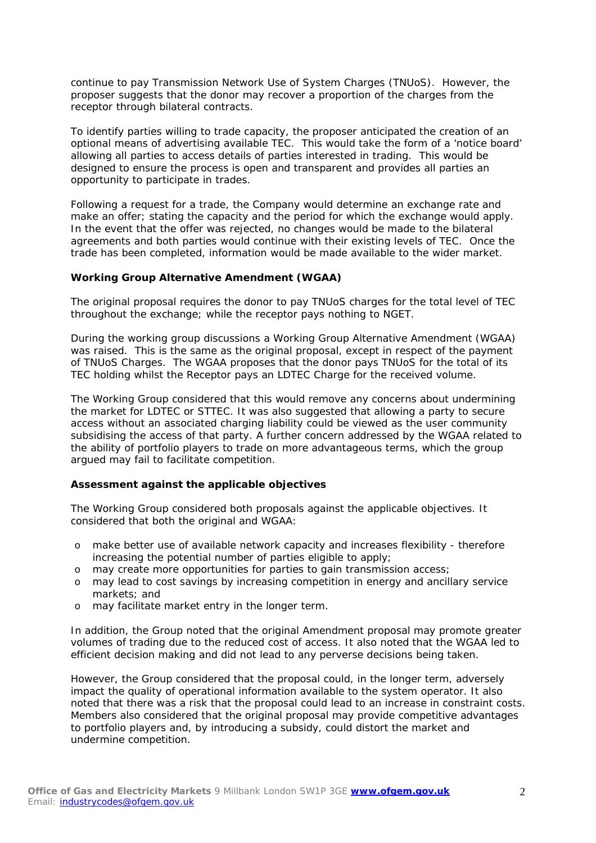continue to pay Transmission Network Use of System Charges (TNUoS). However, the proposer suggests that the donor may recover a proportion of the charges from the receptor through bilateral contracts.

To identify parties willing to trade capacity, the proposer anticipated the creation of an optional means of advertising available TEC. This would take the form of a 'notice board' allowing all parties to access details of parties interested in trading. This would be designed to ensure the process is open and transparent and provides all parties an opportunity to participate in trades.

Following a request for a trade, the Company would determine an exchange rate and make an offer; stating the capacity and the period for which the exchange would apply. In the event that the offer was rejected, no changes would be made to the bilateral agreements and both parties would continue with their existing levels of TEC. Once the trade has been completed, information would be made available to the wider market.

# **Working Group Alternative Amendment (WGAA)**

The original proposal requires the donor to pay TNUoS charges for the total level of TEC throughout the exchange; while the receptor pays nothing to NGET.

During the working group discussions a Working Group Alternative Amendment (WGAA) was raised. This is the same as the original proposal, except in respect of the payment of TNUoS Charges. The WGAA proposes that the donor pays TNUoS for the total of its TEC holding whilst the Receptor pays an LDTEC Charge for the received volume.

The Working Group considered that this would remove any concerns about undermining the market for LDTEC or STTEC. It was also suggested that allowing a party to secure access without an associated charging liability could be viewed as the user community subsidising the access of that party. A further concern addressed by the WGAA related to the ability of portfolio players to trade on more advantageous terms, which the group argued may fail to facilitate competition.

## **Assessment against the applicable objectives**

The Working Group considered both proposals against the applicable objectives. It considered that both the original and WGAA:

- o make better use of available network capacity and increases flexibility therefore increasing the potential number of parties eligible to apply;
- o may create more opportunities for parties to gain transmission access;
- o may lead to cost savings by increasing competition in energy and ancillary service markets; and
- o may facilitate market entry in the longer term.

In addition, the Group noted that the original Amendment proposal may promote greater volumes of trading due to the reduced cost of access. It also noted that the WGAA led to efficient decision making and did not lead to any perverse decisions being taken.

However, the Group considered that the proposal could, in the longer term, adversely impact the quality of operational information available to the system operator. It also noted that there was a risk that the proposal could lead to an increase in constraint costs. Members also considered that the original proposal may provide competitive advantages to portfolio players and, by introducing a subsidy, could distort the market and undermine competition.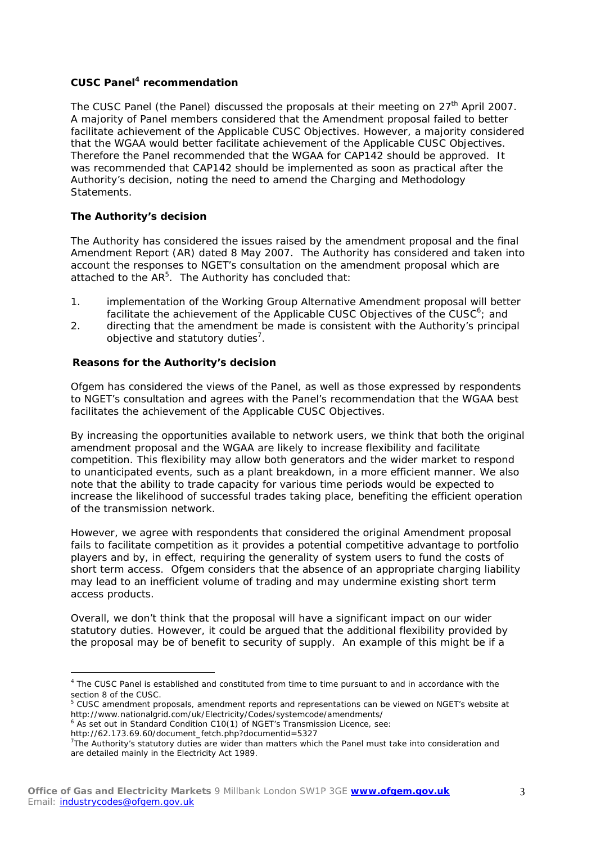# **CUSC Panel [4](#page-2-0) recommendation**

The CUSC Panel (the Panel) discussed the proposals at their meeting on 27<sup>th</sup> April 2007. A majority of Panel members considered that the Amendment proposal failed to better facilitate achievement of the Applicable CUSC Objectives. However, a majority considered that the WGAA would better facilitate achievement of the Applicable CUSC Objectives. Therefore the Panel recommended that the WGAA for CAP142 should be approved. It was recommended that CAP142 should be implemented as soon as practical after the Authority's decision, noting the need to amend the Charging and Methodology Statements.

# **The Authority's decision**

The Authority has considered the issues raised by the amendment proposal and the final Amendment Report (AR) dated 8 May 2007. The Authority has considered and taken into account the responses to NGET's consultation on the amendment proposal which are attached to the AR<sup>[5](#page-2-1)</sup>. The Authority has concluded that:

- 1. implementation of the Working Group Alternative Amendment proposal will better facilitate the achievement of the Applicable CUSC Objectives of the CUSC $6$ ; and
- 2. directing that the amendment be made is consistent with the Authority's principal objective and statutory duties<sup>7</sup>.

# **Reasons for the Authority's decision**

Ofgem has considered the views of the Panel, as well as those expressed by respondents to NGET's consultation and agrees with the Panel's recommendation that the WGAA best facilitates the achievement of the Applicable CUSC Objectives.

By increasing the opportunities available to network users, we think that both the original amendment proposal and the WGAA are likely to increase flexibility and facilitate competition. This flexibility may allow both generators and the wider market to respond to unanticipated events, such as a plant breakdown, in a more efficient manner. We also note that the ability to trade capacity for various time periods would be expected to increase the likelihood of successful trades taking place, benefiting the efficient operation of the transmission network.

However, we agree with respondents that considered the original Amendment proposal fails to facilitate competition as it provides a potential competitive advantage to portfolio players and by, in effect, requiring the generality of system users to fund the costs of short term access. Ofgem considers that the absence of an appropriate charging liability may lead to an inefficient volume of trading and may undermine existing short term access products.

Overall, we don't think that the proposal will have a significant impact on our wider statutory duties. However, it could be argued that the additional flexibility provided by the proposal may be of benefit to security of supply. An example of this might be if a

- <span id="page-2-2"></span>
- http://62.173.69.60/document\_fetch.php?documentid=5327

<span id="page-2-0"></span> <sup>4</sup> The CUSC Panel is established and constituted from time to time pursuant to and in accordance with the section 8 of the CUSC.

<span id="page-2-1"></span> $5$  CUSC amendment proposals, amendment reports and representations can be viewed on NGET's website at http://www.nationalgrid.com/uk/Electricity/Codes/systemcode/amendments/ http://www.nationalgrid.com/uk/Electricity/Codes/systemcode/amendments/<br><sup>6</sup> As set out in Standard Condition C10(1) of NGET's Transmission Licence, see:

<span id="page-2-3"></span> $T$ The Authority's statutory duties are wider than matters which the Panel must take into consideration and are detailed mainly in the Electricity Act 1989.